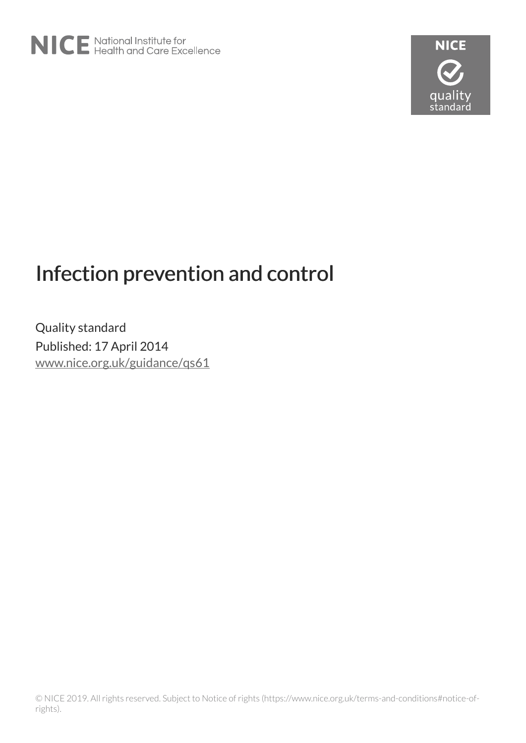

# Infection prevention and control

Quality standard Published: 17 April 2014 [www.nice.org.uk/guidance/qs61](https://www.nice.org.uk/guidance/qs61)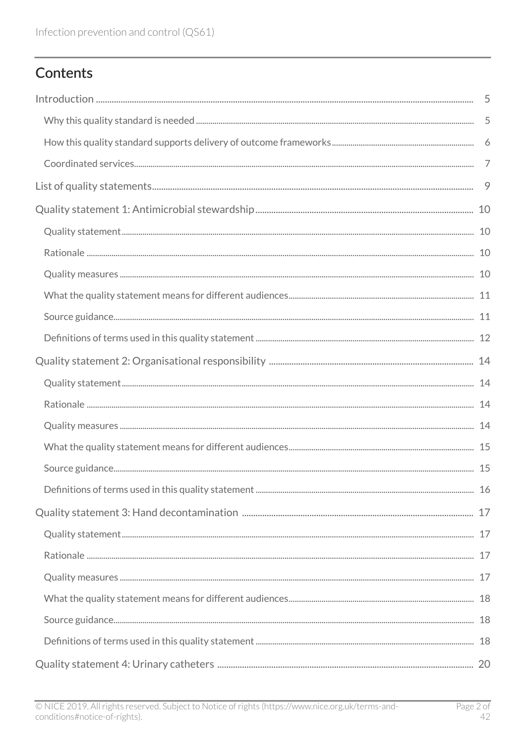# Contents

| - 9 |
|-----|
|     |
|     |
|     |
|     |
|     |
|     |
|     |
|     |
|     |
|     |
|     |
|     |
|     |
|     |
|     |
|     |
|     |
|     |
|     |
|     |
|     |
|     |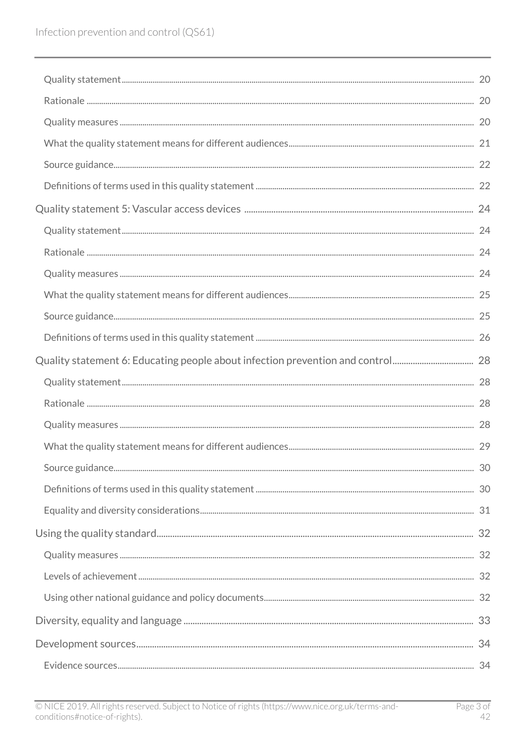| Quality statement 6: Educating people about infection prevention and control 28 |  |
|---------------------------------------------------------------------------------|--|
|                                                                                 |  |
|                                                                                 |  |
|                                                                                 |  |
|                                                                                 |  |
|                                                                                 |  |
|                                                                                 |  |
|                                                                                 |  |
|                                                                                 |  |
|                                                                                 |  |
|                                                                                 |  |
|                                                                                 |  |
|                                                                                 |  |
|                                                                                 |  |
|                                                                                 |  |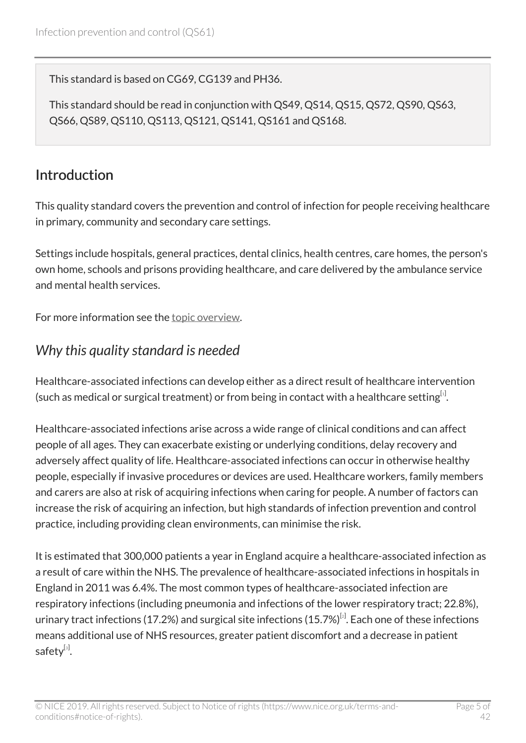This standard is based on CG69, CG139 and PH36.

This standard should be read in conjunction with QS49, QS14, QS15, QS72, QS90, QS63, QS66, QS89, QS110, QS113, QS121, QS141, QS161 and QS168.

### <span id="page-4-0"></span>Introduction

This quality standard covers the prevention and control of infection for people receiving healthcare in primary, community and secondary care settings.

Settings include hospitals, general practices, dental clinics, health centres, care homes, the person's own home, schools and prisons providing healthcare, and care delivered by the ambulance service and mental health services.

For more information see the [topic overview.](http://www.nice.org.uk/guidance/qs61/documents)

### <span id="page-4-1"></span>*Why this quality standard is needed*

<span id="page-4-2"></span>Healthcare-associated infections can develop either as a direct result of healthcare intervention (such as medical or surgical treatment) or from being in contact with a healthcare setting $^{[i]}$ .

Healthcare-associated infections arise across a wide range of clinical conditions and can affect people of all ages. They can exacerbate existing or underlying conditions, delay recovery and adversely affect quality of life. Healthcare-associated infections can occur in otherwise healthy people, especially if invasive procedures or devices are used. Healthcare workers, family members and carers are also at risk of acquiring infections when caring for people. A number of factors can increase the risk of acquiring an infection, but high standards of infection prevention and control practice, including providing clean environments, can minimise the risk.

<span id="page-4-4"></span><span id="page-4-3"></span>It is estimated that 300,000 patients a year in England acquire a healthcare-associated infection as a result of care within the NHS. The prevalence of healthcare-associated infections in hospitals in England in 2011 was 6.4%. The most common types of healthcare-associated infection are respiratory infections (including pneumonia and infections of the lower respiratory tract; 22.8%), urinary tract infections (17.[2](#page-7-1)%) and surgical site infections (15.7%) $^{\lbrack\bm{\mathfrak{c}}\rbrack}$ . Each one of these infections means additional use of NHS resources, greater patient discomfort and a decrease in patient safety $^{\left[ 3\right] }$  $^{\left[ 3\right] }$  $^{\left[ 3\right] }$ .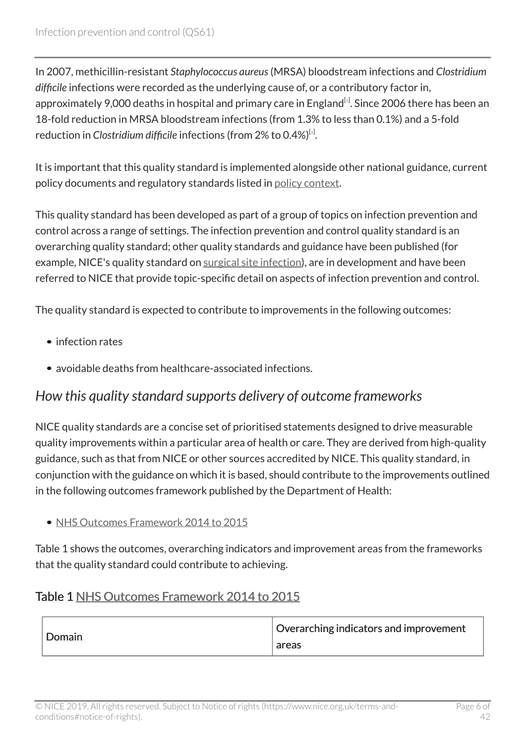In 2007, methicillin-resistant *Staphylococcus aureus*(MRSA) bloodstream infections and *Clostridium difficile* infections were recorded as the underlying cause of, or a contributory factor in, approximately 9,000 deaths in hospital and primary care in England<sup>[[3](#page-7-2)]</sup>. Since 2006 there has been an 18-fold reduction in MRSA bloodstream infections (from 1.3% to less than 0.1%) and a 5-fold reduction in *Clostridium difficile i*nfections (from [2](#page-7-1)% to 0.4%)<sup>[2]</sup>.

It is important that this quality standard is implemented alongside other national guidance, current policy documents and regulatory standards listed in [policy context](#page-33-2).

This quality standard has been developed as part of a group of topics on infection prevention and control across a range of settings. The infection prevention and control quality standard is an overarching quality standard; other quality standards and guidance have been published (for example, NICE's quality standard on [surgical site infection](https://www.nice.org.uk/guidance/qs49)), are in development and have been referred to NICE that provide topic-specific detail on aspects of infection prevention and control.

The quality standard is expected to contribute to improvements in the following outcomes:

- infection rates
- avoidable deaths from healthcare-associated infections.

### <span id="page-5-0"></span>*How this quality standard supports delivery of outcome frameworks*

NICE quality standards are a concise set of prioritised statements designed to drive measurable quality improvements within a particular area of health or care. They are derived from high-quality guidance, such as that from NICE or other sources accredited by NICE. This quality standard, in conjunction with the guidance on which it is based, should contribute to the improvements outlined in the following outcomes framework published by the Department of Health:

#### • [NHS Outcomes Framework 2014 to 2015](https://www.gov.uk/government/publications/nhs-outcomes-framework-2014-to-2015)

Table 1 shows the outcomes, overarching indicators and improvement areas from the frameworks that the quality standard could contribute to achieving.

#### Table 1 [NHS Outcomes Framework 2014 to 2015](https://www.gov.uk/government/publications/nhs-outcomes-framework-2014-to-2015)

| Domain | Overarching indicators and improvement<br>areas |
|--------|-------------------------------------------------|
|--------|-------------------------------------------------|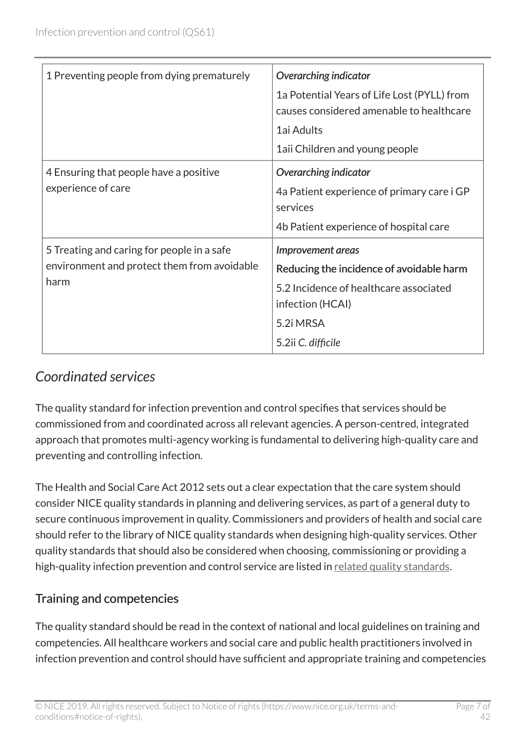| 1 Preventing people from dying prematurely                                                        | <b>Overarching indicator</b><br>1a Potential Years of Life Lost (PYLL) from<br>causes considered amenable to healthcare<br>1ai Adults<br>1aii Children and young people |
|---------------------------------------------------------------------------------------------------|-------------------------------------------------------------------------------------------------------------------------------------------------------------------------|
| 4 Ensuring that people have a positive<br>experience of care                                      | <b>Overarching indicator</b><br>4a Patient experience of primary care i GP<br>services<br>4b Patient experience of hospital care                                        |
| 5 Treating and caring for people in a safe<br>environment and protect them from avoidable<br>harm | Improvement areas<br>Reducing the incidence of avoidable harm<br>5.2 Incidence of healthcare associated<br>infection (HCAI)<br>5.2i MRSA<br>5.2ii C. difficile          |

# <span id="page-6-0"></span>*Coordinated services*

The quality standard for infection prevention and control specifies that services should be commissioned from and coordinated across all relevant agencies. A person-centred, integrated approach that promotes multi-agency working is fundamental to delivering high-quality care and preventing and controlling infection.

The Health and Social Care Act 2012 sets out a clear expectation that the care system should consider NICE quality standards in planning and delivering services, as part of a general duty to secure continuous improvement in quality. Commissioners and providers of health and social care should refer to the library of NICE quality standards when designing high-quality services. Other quality standards that should also be considered when choosing, commissioning or providing a high-quality infection prevention and control service are listed in [related quality standards](#page-35-0).

### Training and competencies

The quality standard should be read in the context of national and local guidelines on training and competencies. All healthcare workers and social care and public health practitioners involved in infection prevention and control should have sufficient and appropriate training and competencies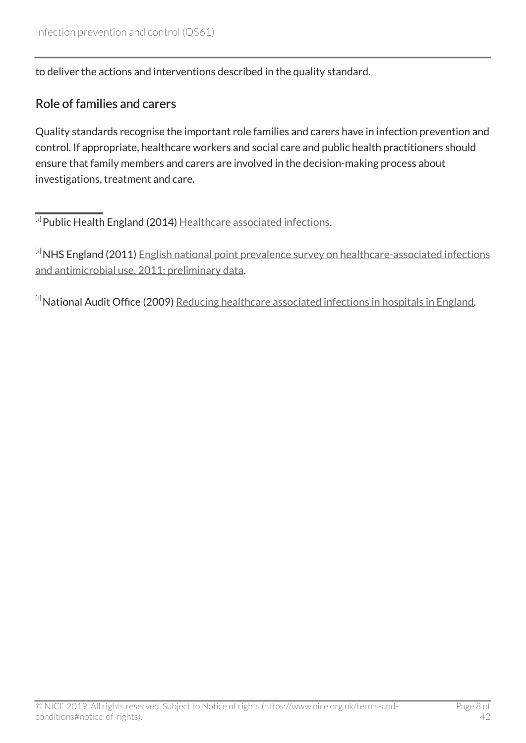to deliver the actions and interventions described in the quality standard.

#### Role of families and carers

Quality standards recognise the important role families and carers have in infection prevention and control. If appropriate, healthcare workers and social care and public health practitioners should ensure that family members and carers are involved in the decision-making process about investigations, treatment and care.

<span id="page-7-0"></span> $^{\left[ \textrm{i}\right]}$ Public Health England (20[1](#page-4-2)4) <u>[Healthcare associated infections](https://www.gov.uk/government/collections/healthcare-associated-infections-hcai-guidance-data-and-analysis)</u>.

<span id="page-7-1"></span>[[2](#page-4-3)] NHS England (2011) [English national point prevalence survey on healthcare-associated infections](https://webarchive.nationalarchives.gov.uk/20140714085429/http:/www.hpa.org.uk/Publications/InfectiousDiseases/AntimicrobialAndHealthcareAssociatedInfections/1205HCAIEnglishPPSforhcaiandamu2011prelim/) [and antimicrobial use, 2011: preliminary data.](https://webarchive.nationalarchives.gov.uk/20140714085429/http:/www.hpa.org.uk/Publications/InfectiousDiseases/AntimicrobialAndHealthcareAssociatedInfections/1205HCAIEnglishPPSforhcaiandamu2011prelim/)

<span id="page-7-2"></span>[[3](#page-4-4)] National Audit Office (2009) [Reducing healthcare associated infections in hospitals in England](http://www.nao.org.uk/report/reducing-healthcare-associated-infections-in-hospitals-in-england/).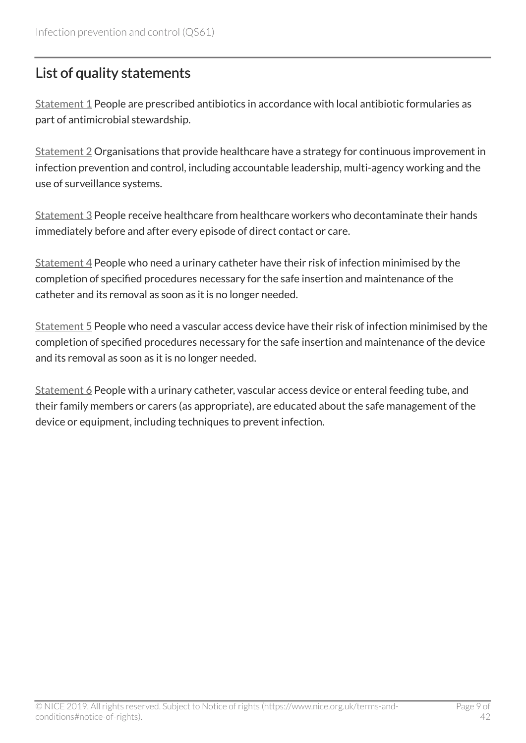# <span id="page-8-0"></span>List of quality statements

[Statement 1](#page-9-0) People are prescribed antibiotics in accordance with local antibiotic formularies as part of antimicrobial stewardship.

[Statement 2](#page-13-0) Organisations that provide healthcare have a strategy for continuous improvement in infection prevention and control, including accountable leadership, multi-agency working and the use of surveillance systems.

[Statement 3](#page-16-0) People receive healthcare from healthcare workers who decontaminate their hands immediately before and after every episode of direct contact or care.

 $Statement 4$  People who need a urinary catheter have their risk of infection minimised by the completion of specified procedures necessary for the safe insertion and maintenance of the catheter and its removal as soon as it is no longer needed.

[Statement 5](#page-23-0) People who need a vascular access device have their risk of infection minimised by the completion of specified procedures necessary for the safe insertion and maintenance of the device and its removal as soon as it is no longer needed.

[Statement 6](#page-27-0) People with a urinary catheter, vascular access device or enteral feeding tube, and their family members or carers (as appropriate), are educated about the safe management of the device or equipment, including techniques to prevent infection.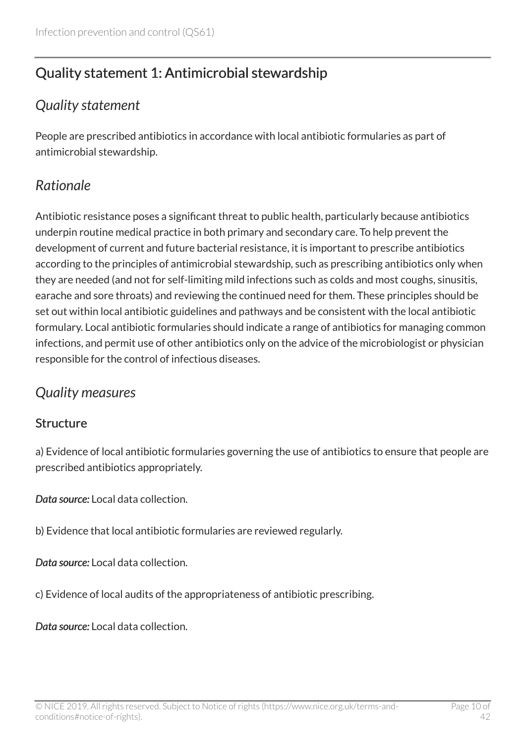# <span id="page-9-0"></span>Quality statement 1: Antimicrobial stewardship

### <span id="page-9-1"></span>*Quality statement*

People are prescribed antibiotics in accordance with local antibiotic formularies as part of antimicrobial stewardship.

# <span id="page-9-2"></span>*Rationale*

Antibiotic resistance poses a significant threat to public health, particularly because antibiotics underpin routine medical practice in both primary and secondary care. To help prevent the development of current and future bacterial resistance, it is important to prescribe antibiotics according to the principles of antimicrobial stewardship, such as prescribing antibiotics only when they are needed (and not for self-limiting mild infections such as colds and most coughs, sinusitis, earache and sore throats) and reviewing the continued need for them. These principles should be set out within local antibiotic guidelines and pathways and be consistent with the local antibiotic formulary. Local antibiotic formularies should indicate a range of antibiotics for managing common infections, and permit use of other antibiotics only on the advice of the microbiologist or physician responsible for the control of infectious diseases.

### <span id="page-9-3"></span>*Quality measures*

### **Structure**

a) Evidence of local antibiotic formularies governing the use of antibiotics to ensure that people are prescribed antibiotics appropriately.

*Data source:* Local data collection.

b) Evidence that local antibiotic formularies are reviewed regularly.

*Data source:* Local data collection.

c) Evidence of local audits of the appropriateness of antibiotic prescribing.

*Data source:* Local data collection.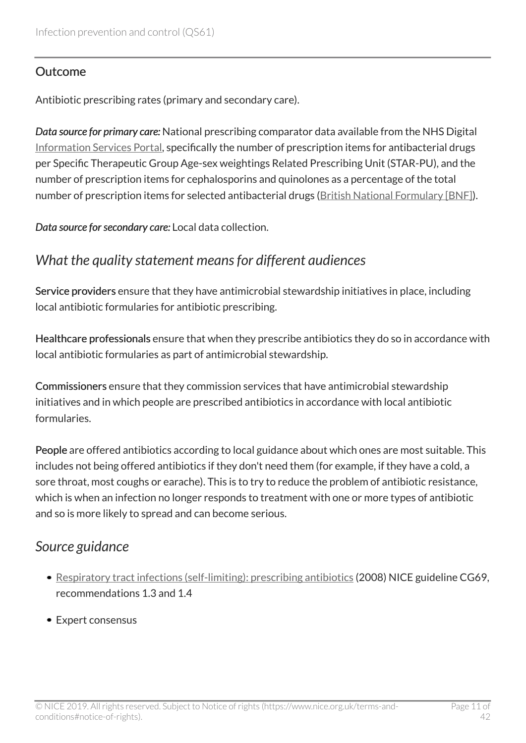#### **Outcome**

Antibiotic prescribing rates (primary and secondary care).

*Data source for primary care:* National prescribing comparator data available from the NHS Digital [Information Services Portal](https://apps.nhsbsa.nhs.uk/infosystems/welcome), specifically the number of prescription items for antibacterial drugs per Specific Therapeutic Group Age-sex weightings Related Prescribing Unit (STAR-PU), and the number of prescription items for cephalosporins and quinolones as a percentage of the total number of prescription items for selected antibacterial drugs [\(British National Formulary \[BNF\]\)](https://bnf.nice.org.uk/treatment-summary/antibacterials-principles-of-therapy.html).

*Data source for secondary care:* Local data collection.

### <span id="page-10-0"></span>*What the quality statement means for different audiences*

Service providers ensure that they have antimicrobial stewardship initiatives in place, including local antibiotic formularies for antibiotic prescribing.

Healthcare professionals ensure that when they prescribe antibiotics they do so in accordance with local antibiotic formularies as part of antimicrobial stewardship.

Commissioners ensure that they commission services that have antimicrobial stewardship initiatives and in which people are prescribed antibiotics in accordance with local antibiotic formularies.

People are offered antibiotics according to local guidance about which ones are most suitable. This includes not being offered antibiotics if they don't need them (for example, if they have a cold, a sore throat, most coughs or earache). This is to try to reduce the problem of antibiotic resistance, which is when an infection no longer responds to treatment with one or more types of antibiotic and so is more likely to spread and can become serious.

### <span id="page-10-1"></span>*Source guidance*

- [Respiratory tract infections \(self-limiting\): prescribing antibiotics](https://www.nice.org.uk/guidance/cg69) (2008) NICE guideline CG69, recommendations 1.3 and 1.4
- Expert consensus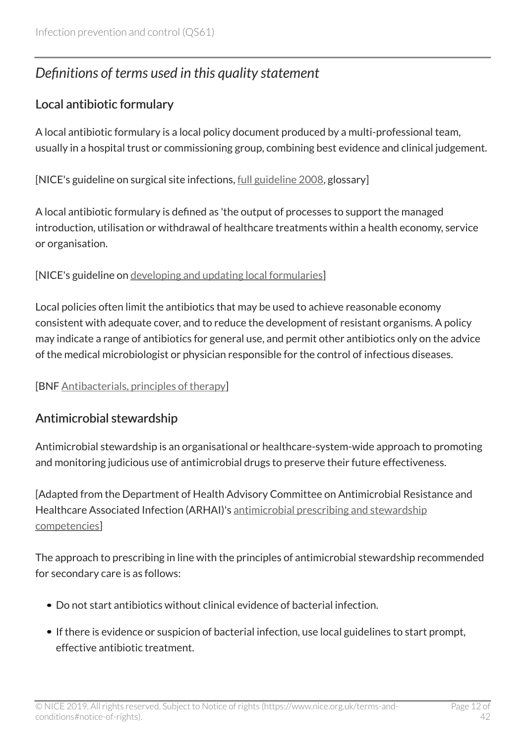# <span id="page-11-0"></span>*Definitions of terms used in this quality statement*

### Local antibiotic formulary

A local antibiotic formulary is a local policy document produced by a multi-professional team, usually in a hospital trust or commissioning group, combining best evidence and clinical judgement.

[NICE's guideline on surgical site infections, [full guideline 2008](http://www.nice.org.uk/guidance/NG125/evidence), glossary]

A local antibiotic formulary is defined as 'the output of processes to support the managed introduction, utilisation or withdrawal of healthcare treatments within a health economy, service or organisation.

#### [NICE's guideline on [developing and updating local formularies](https://www.nice.org.uk/guidance/mpg1)]

Local policies often limit the antibiotics that may be used to achieve reasonable economy consistent with adequate cover, and to reduce the development of resistant organisms. A policy may indicate a range of antibiotics for general use, and permit other antibiotics only on the advice of the medical microbiologist or physician responsible for the control of infectious diseases.

[BNF [Antibacterials, principles of therapy](https://bnf.nice.org.uk/treatment-summary/antibacterials-principles-of-therapy.html)]

### Antimicrobial stewardship

Antimicrobial stewardship is an organisational or healthcare-system-wide approach to promoting and monitoring judicious use of antimicrobial drugs to preserve their future effectiveness.

[Adapted from the Department of Health Advisory Committee on Antimicrobial Resistance and Healthcare Associated Infection (ARHAI)'s [antimicrobial prescribing and stewardship](https://www.gov.uk/government/publications/antimicrobial-prescribing-and-stewardship-competencies) [competencies\]](https://www.gov.uk/government/publications/antimicrobial-prescribing-and-stewardship-competencies)

The approach to prescribing in line with the principles of antimicrobial stewardship recommended for secondary care is as follows:

- Do not start antibiotics without clinical evidence of bacterial infection.
- If there is evidence or suspicion of bacterial infection, use local guidelines to start prompt, effective antibiotic treatment.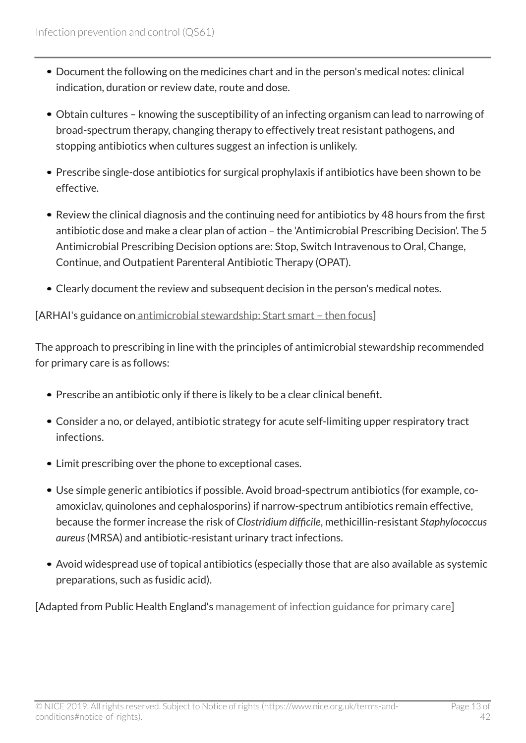- Document the following on the medicines chart and in the person's medical notes: clinical indication, duration or review date, route and dose.
- Obtain cultures knowing the susceptibility of an infecting organism can lead to narrowing of broad-spectrum therapy, changing therapy to effectively treat resistant pathogens, and stopping antibiotics when cultures suggest an infection is unlikely.
- Prescribe single-dose antibiotics for surgical prophylaxis if antibiotics have been shown to be effective.
- Review the clinical diagnosis and the continuing need for antibiotics by 48 hours from the first antibiotic dose and make a clear plan of action – the 'Antimicrobial Prescribing Decision'. The 5 Antimicrobial Prescribing Decision options are: Stop, Switch Intravenous to Oral, Change, Continue, and Outpatient Parenteral Antibiotic Therapy (OPAT).
- Clearly document the review and subsequent decision in the person's medical notes.

#### [ARHAI's guidance on antimicrobial stewardship: Start smart - then focus]

The approach to prescribing in line with the principles of antimicrobial stewardship recommended for primary care is as follows:

- Prescribe an antibiotic only if there is likely to be a clear clinical benefit.
- Consider a no, or delayed, antibiotic strategy for acute self-limiting upper respiratory tract infections.
- Limit prescribing over the phone to exceptional cases.
- Use simple generic antibiotics if possible. Avoid broad-spectrum antibiotics (for example, coamoxiclav, quinolones and cephalosporins) if narrow-spectrum antibiotics remain effective, because the former increase the risk of *Clostridium difficile*, methicillin-resistant *Staphylococcus aureus*(MRSA) and antibiotic-resistant urinary tract infections.
- Avoid widespread use of topical antibiotics (especially those that are also available as systemic preparations, such as fusidic acid).

[Adapted from Public Health England's [management of infection guidance for primary care\]](https://www.gov.uk/government/publications/managing-common-infections-guidance-for-primary-care)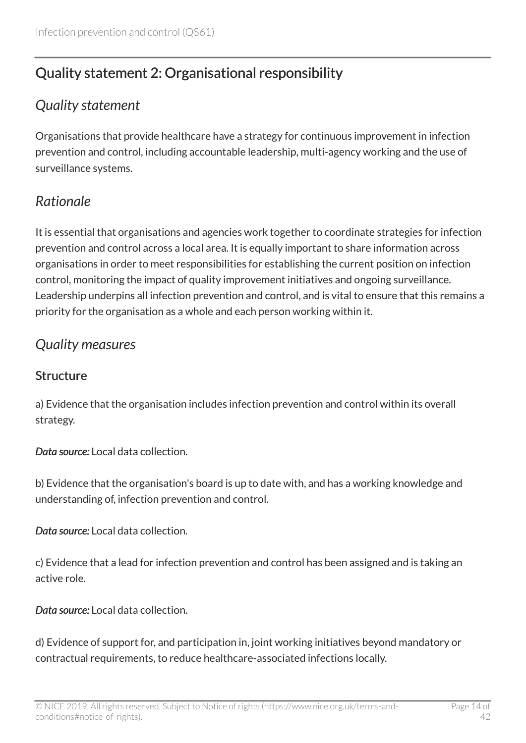# <span id="page-13-0"></span>Quality statement 2: Organisational responsibility

### <span id="page-13-1"></span>*Quality statement*

Organisations that provide healthcare have a strategy for continuous improvement in infection prevention and control, including accountable leadership, multi-agency working and the use of surveillance systems.

# <span id="page-13-2"></span>*Rationale*

It is essential that organisations and agencies work together to coordinate strategies for infection prevention and control across a local area. It is equally important to share information across organisations in order to meet responsibilities for establishing the current position on infection control, monitoring the impact of quality improvement initiatives and ongoing surveillance. Leadership underpins all infection prevention and control, and is vital to ensure that this remains a priority for the organisation as a whole and each person working within it.

### <span id="page-13-3"></span>*Quality measures*

#### **Structure**

a) Evidence that the organisation includes infection prevention and control within its overall strategy.

*Data source:* Local data collection.

b) Evidence that the organisation's board is up to date with, and has a working knowledge and understanding of, infection prevention and control.

*Data source:* Local data collection.

c) Evidence that a lead for infection prevention and control has been assigned and is taking an active role.

*Data source:* Local data collection.

d) Evidence of support for, and participation in, joint working initiatives beyond mandatory or contractual requirements, to reduce healthcare-associated infections locally.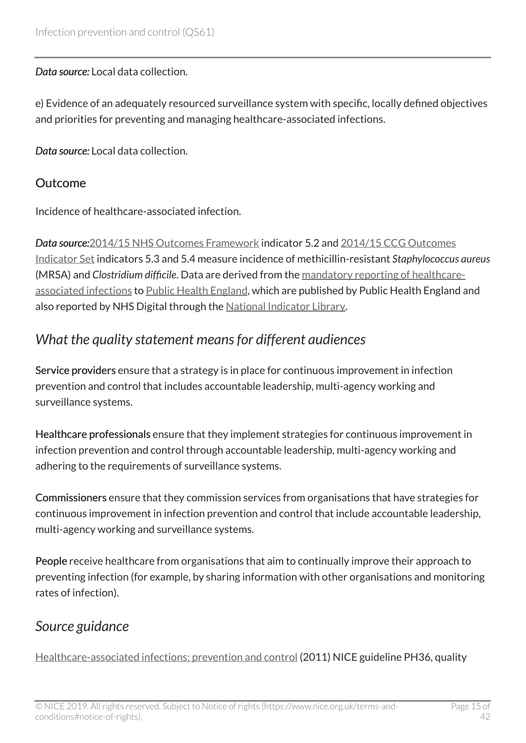#### *Data source:* Local data collection.

e) Evidence of an adequately resourced surveillance system with specific, locally defined objectives and priorities for preventing and managing healthcare-associated infections.

*Data source:* Local data collection.

#### **Outcome**

Incidence of healthcare-associated infection.

*Data source:*[2014/15 NHS Outcomes Framework](https://www.gov.uk/government/publications/nhs-outcomes-framework-2014-to-2015) indicator 5.2 and [2014/15 CCG Outcomes](https://digital.nhs.uk/data-and-information/publications/clinical-indicators/ccg-outcomes-indicator-set) [Indicator Set](https://digital.nhs.uk/data-and-information/publications/clinical-indicators/ccg-outcomes-indicator-set) indicators 5.3 and 5.4 measure incidence of methicillin-resistant *Staphylococcus aureus* (MRSA) and *Clostridium difficile*. Data are derived from the [mandatory reporting of healthcare](https://hcaidcs.phe.org.uk/webpages/GeneralHomePage.aspx)[associated infections](https://hcaidcs.phe.org.uk/webpages/GeneralHomePage.aspx) to [Public Health England](https://www.gov.uk/government/organisations/public-health-england), which are published by Public Health England and also reported by NHS Digital through the [National Indicator Library.](https://digital.nhs.uk/data-and-information/national-indicator-library)

### <span id="page-14-0"></span>*What the quality statement means for different audiences*

Service providers ensure that a strategy is in place for continuous improvement in infection prevention and control that includes accountable leadership, multi-agency working and surveillance systems.

Healthcare professionals ensure that they implement strategies for continuous improvement in infection prevention and control through accountable leadership, multi-agency working and adhering to the requirements of surveillance systems.

Commissioners ensure that they commission services from organisations that have strategies for continuous improvement in infection prevention and control that include accountable leadership, multi-agency working and surveillance systems.

People receive healthcare from organisations that aim to continually improve their approach to preventing infection (for example, by sharing information with other organisations and monitoring rates of infection).

### <span id="page-14-1"></span>*Source guidance*

[Healthcare-associated infections: prevention and control](https://www.nice.org.uk/guidance/ph36) (2011) NICE guideline PH36, quality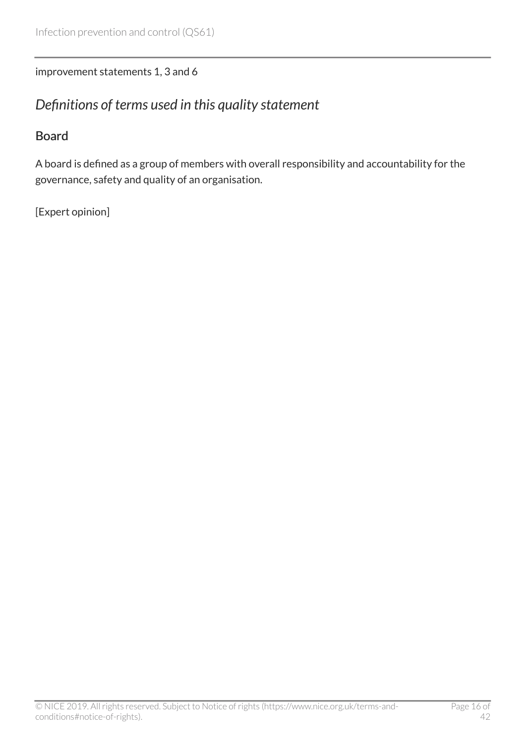#### improvement statements 1, 3 and 6

### <span id="page-15-0"></span>*Definitions of terms used in this quality statement*

#### Board

A board is defined as a group of members with overall responsibility and accountability for the governance, safety and quality of an organisation.

[Expert opinion]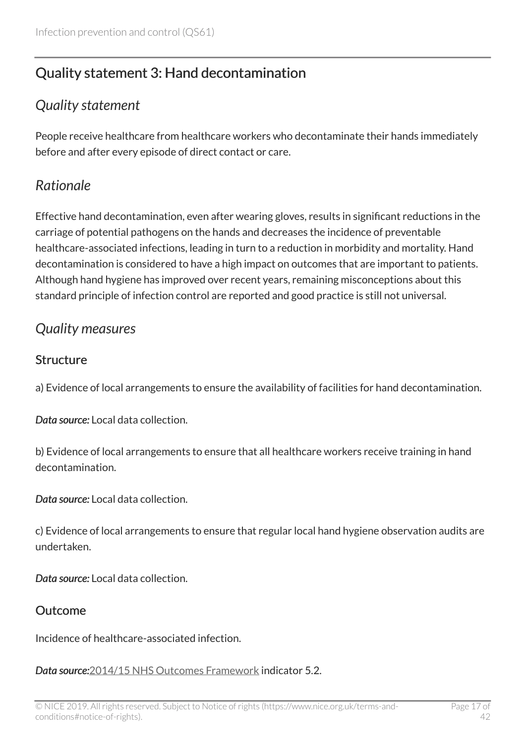# <span id="page-16-0"></span>Quality statement 3: Hand decontamination

### <span id="page-16-1"></span>*Quality statement*

People receive healthcare from healthcare workers who decontaminate their hands immediately before and after every episode of direct contact or care.

### <span id="page-16-2"></span>*Rationale*

Effective hand decontamination, even after wearing gloves, results in significant reductions in the carriage of potential pathogens on the hands and decreases the incidence of preventable healthcare-associated infections, leading in turn to a reduction in morbidity and mortality. Hand decontamination is considered to have a high impact on outcomes that are important to patients. Although hand hygiene has improved over recent years, remaining misconceptions about this standard principle of infection control are reported and good practice is still not universal.

### <span id="page-16-3"></span>*Quality measures*

#### **Structure**

a) Evidence of local arrangements to ensure the availability of facilities for hand decontamination.

*Data source:* Local data collection.

b) Evidence of local arrangements to ensure that all healthcare workers receive training in hand decontamination.

*Data source:* Local data collection.

c) Evidence of local arrangements to ensure that regular local hand hygiene observation audits are undertaken.

*Data source:* Local data collection.

#### Outcome

Incidence of healthcare-associated infection.

*Data source:*[2014/15 NHS Outcomes Framework](https://www.gov.uk/government/publications/nhs-outcomes-framework-2014-to-2015) indicator 5.2.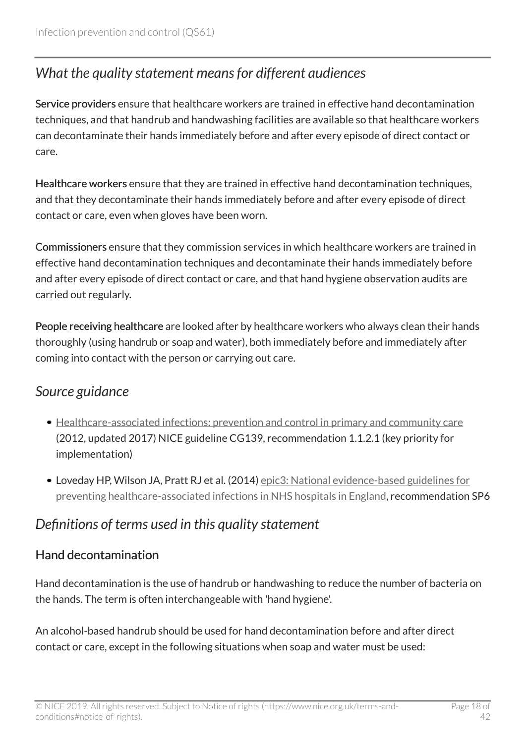# <span id="page-17-0"></span>*What the quality statement means for different audiences*

Service providers ensure that healthcare workers are trained in effective hand decontamination techniques, and that handrub and handwashing facilities are available so that healthcare workers can decontaminate their hands immediately before and after every episode of direct contact or care.

Healthcare workers ensure that they are trained in effective hand decontamination techniques, and that they decontaminate their hands immediately before and after every episode of direct contact or care, even when gloves have been worn.

Commissioners ensure that they commission services in which healthcare workers are trained in effective hand decontamination techniques and decontaminate their hands immediately before and after every episode of direct contact or care, and that hand hygiene observation audits are carried out regularly.

People receiving healthcare are looked after by healthcare workers who always clean their hands thoroughly (using handrub or soap and water), both immediately before and immediately after coming into contact with the person or carrying out care.

### <span id="page-17-1"></span>*Source guidance*

- [Healthcare-associated infections: prevention and control in primary and community care](https://www.nice.org.uk/guidance/cg139) (2012, updated 2017) NICE guideline CG139, recommendation 1.1.2.1 (key priority for implementation)
- Loveday HP, Wilson JA, Pratt RJ et al. (2014) [epic3: National evidence-based guidelines for](http://www.journalofhospitalinfection.com/article/S0195-6701(13)60012-2/fulltext) [preventing healthcare-associated infections in NHS hospitals in England](http://www.journalofhospitalinfection.com/article/S0195-6701(13)60012-2/fulltext), recommendation SP6

### <span id="page-17-2"></span>*Definitions of terms used in this quality statement*

### Hand decontamination

Hand decontamination is the use of handrub or handwashing to reduce the number of bacteria on the hands. The term is often interchangeable with 'hand hygiene'.

An alcohol-based handrub should be used for hand decontamination before and after direct contact or care, except in the following situations when soap and water must be used: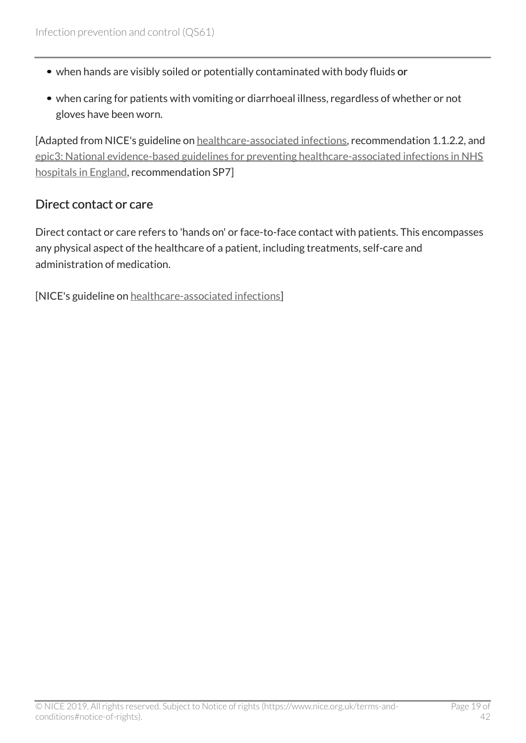- when hands are visibly soiled or potentially contaminated with body fluids or
- when caring for patients with vomiting or diarrhoeal illness, regardless of whether or not gloves have been worn.

[Adapted from NICE's guideline on [healthcare-associated infections,](https://www.nice.org.uk/guidance/cg139) recommendation 1.1.2.2, and [epic3: National evidence-based guidelines for preventing healthcare-associated infections in NHS](http://www.journalofhospitalinfection.com/article/S0195-6701(13)60012-2/fulltext) [hospitals in England,](http://www.journalofhospitalinfection.com/article/S0195-6701(13)60012-2/fulltext) recommendation SP7]

#### Direct contact or care

Direct contact or care refers to 'hands on' or face-to-face contact with patients. This encompasses any physical aspect of the healthcare of a patient, including treatments, self-care and administration of medication.

[NICE's guideline on [healthcare-associated infections\]](https://www.nice.org.uk/guidance/cg139)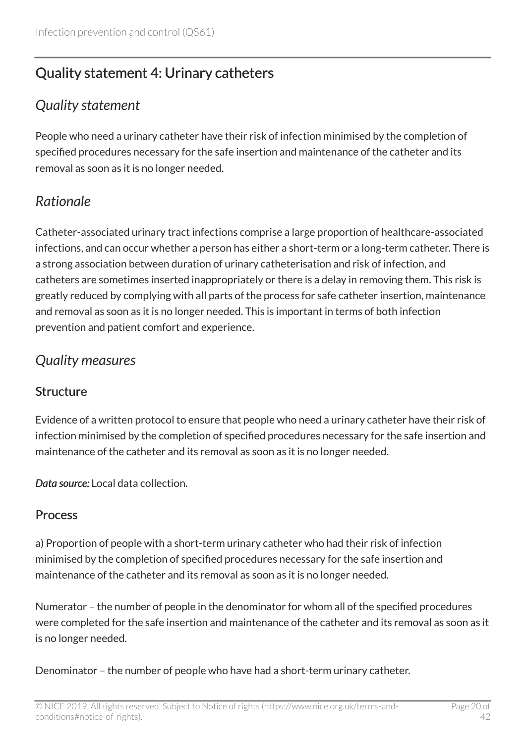# <span id="page-19-0"></span>Quality statement 4: Urinary catheters

### <span id="page-19-1"></span>*Quality statement*

People who need a urinary catheter have their risk of infection minimised by the completion of specified procedures necessary for the safe insertion and maintenance of the catheter and its removal as soon as it is no longer needed.

# <span id="page-19-2"></span>*Rationale*

Catheter-associated urinary tract infections comprise a large proportion of healthcare-associated infections, and can occur whether a person has either a short-term or a long-term catheter. There is a strong association between duration of urinary catheterisation and risk of infection, and catheters are sometimes inserted inappropriately or there is a delay in removing them. This risk is greatly reduced by complying with all parts of the process for safe catheter insertion, maintenance and removal as soon as it is no longer needed. This is important in terms of both infection prevention and patient comfort and experience.

# <span id="page-19-3"></span>*Quality measures*

### **Structure**

Evidence of a written protocol to ensure that people who need a urinary catheter have their risk of infection minimised by the completion of specified procedures necessary for the safe insertion and maintenance of the catheter and its removal as soon as it is no longer needed.

*Data source:* Local data collection.

### Process

a) Proportion of people with a short-term urinary catheter who had their risk of infection minimised by the completion of specified procedures necessary for the safe insertion and maintenance of the catheter and its removal as soon as it is no longer needed.

Numerator – the number of people in the denominator for whom all of the specified procedures were completed for the safe insertion and maintenance of the catheter and its removal as soon as it is no longer needed.

Denominator – the number of people who have had a short-term urinary catheter.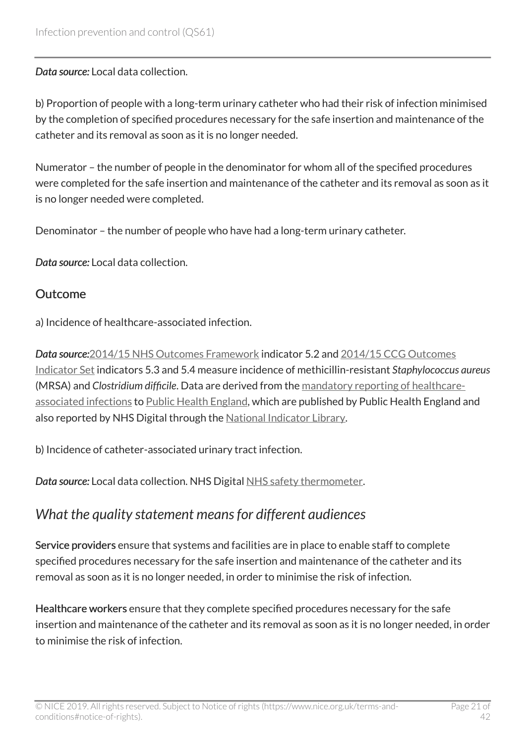*Data source:* Local data collection.

b) Proportion of people with a long-term urinary catheter who had their risk of infection minimised by the completion of specified procedures necessary for the safe insertion and maintenance of the catheter and its removal as soon as it is no longer needed.

Numerator – the number of people in the denominator for whom all of the specified procedures were completed for the safe insertion and maintenance of the catheter and its removal as soon as it is no longer needed were completed.

Denominator – the number of people who have had a long-term urinary catheter.

*Data source:* Local data collection.

#### Outcome

a) Incidence of healthcare-associated infection.

*Data source:*[2014/15 NHS Outcomes Framework](https://www.gov.uk/government/publications/nhs-outcomes-framework-2014-to-2015) indicator 5.2 and [2014/15 CCG Outcomes](https://digital.nhs.uk/data-and-information/publications/clinical-indicators/ccg-outcomes-indicator-set) [Indicator Set](https://digital.nhs.uk/data-and-information/publications/clinical-indicators/ccg-outcomes-indicator-set) indicators 5.3 and 5.4 measure incidence of methicillin-resistant *Staphylococcus aureus* (MRSA) and *Clostridium difficile*. Data are derived from the [mandatory reporting of healthcare](https://hcaidcs.phe.org.uk/webpages/GeneralHomePage.aspx)[associated infections](https://hcaidcs.phe.org.uk/webpages/GeneralHomePage.aspx) to [Public Health England](https://www.gov.uk/government/organisations/public-health-england), which are published by Public Health England and also reported by NHS Digital through the [National Indicator Library.](https://digital.nhs.uk/data-and-information/national-indicator-library)

b) Incidence of catheter-associated urinary tract infection.

*Data source:* Local data collection. NHS Digital [NHS safety thermometer.](http://www.hscic.gov.uk/thermometer)

# <span id="page-20-0"></span>*What the quality statement means for different audiences*

Service providers ensure that systems and facilities are in place to enable staff to complete specified procedures necessary for the safe insertion and maintenance of the catheter and its removal as soon as it is no longer needed, in order to minimise the risk of infection.

Healthcare workers ensure that they complete specified procedures necessary for the safe insertion and maintenance of the catheter and its removal as soon as it is no longer needed, in order to minimise the risk of infection.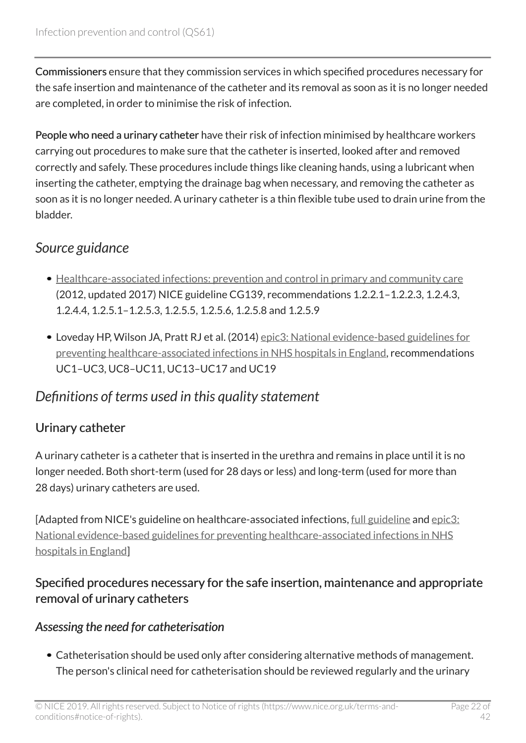Commissioners ensure that they commission services in which specified procedures necessary for the safe insertion and maintenance of the catheter and its removal as soon as it is no longer needed are completed, in order to minimise the risk of infection.

People who need a urinary catheter have their risk of infection minimised by healthcare workers carrying out procedures to make sure that the catheter is inserted, looked after and removed correctly and safely. These procedures include things like cleaning hands, using a lubricant when inserting the catheter, emptying the drainage bag when necessary, and removing the catheter as soon as it is no longer needed. A urinary catheter is a thin flexible tube used to drain urine from the bladder.

### <span id="page-21-0"></span>*Source guidance*

- [Healthcare-associated infections: prevention and control in primary and community care](https://www.nice.org.uk/guidance/cg139) (2012, updated 2017) NICE guideline CG139, recommendations 1.2.2.1–1.2.2.3, 1.2.4.3, 1.2.4.4, 1.2.5.1–1.2.5.3, 1.2.5.5, 1.2.5.6, 1.2.5.8 and 1.2.5.9
- Loveday HP, Wilson JA, Pratt RJ et al. (2014) [epic3: National evidence-based guidelines for](http://www.journalofhospitalinfection.com/article/S0195-6701(13)60012-2/fulltext) [preventing healthcare-associated infections in NHS hospitals in England](http://www.journalofhospitalinfection.com/article/S0195-6701(13)60012-2/fulltext), recommendations UC1–UC3, UC8–UC11, UC13–UC17 and UC19

### <span id="page-21-1"></span>*Definitions of terms used in this quality statement*

### Urinary catheter

A urinary catheter is a catheter that is inserted in the urethra and remains in place until it is no longer needed. Both short-term (used for 28 days or less) and long-term (used for more than 28 days) urinary catheters are used.

[Adapted from NICE's guideline on healthcare-associated infections, [full guideline](http://www.nice.org.uk/guidance/cg139/evidence) and [epic3:](http://www.journalofhospitalinfection.com/article/S0195-6701(13)60012-2/fulltext) [National evidence-based guidelines for preventing healthcare-associated infections in NHS](http://www.journalofhospitalinfection.com/article/S0195-6701(13)60012-2/fulltext) [hospitals in England\]](http://www.journalofhospitalinfection.com/article/S0195-6701(13)60012-2/fulltext)

### Specified procedures necessary for the safe insertion, maintenance and appropriate removal of urinary catheters

### *Assessing the need for catheterisation*

Catheterisation should be used only after considering alternative methods of management. The person's clinical need for catheterisation should be reviewed regularly and the urinary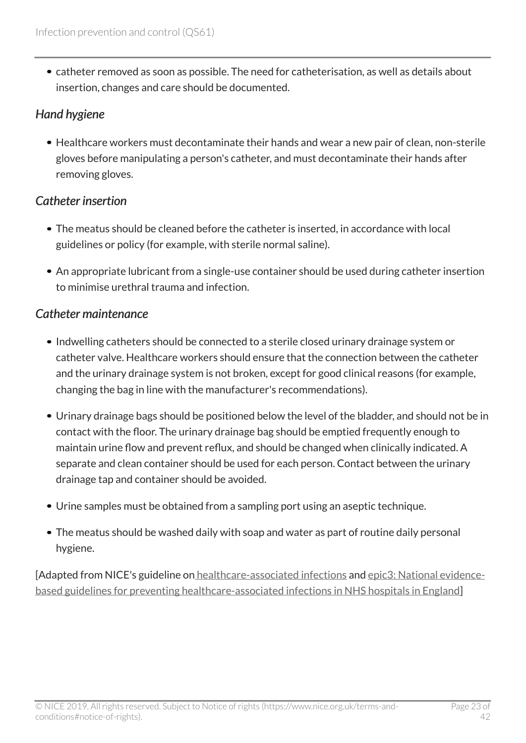catheter removed as soon as possible. The need for catheterisation, as well as details about insertion, changes and care should be documented.

### *Hand hygiene*

Healthcare workers must decontaminate their hands and wear a new pair of clean, non-sterile gloves before manipulating a person's catheter, and must decontaminate their hands after removing gloves.

### *Catheter insertion*

- The meatus should be cleaned before the catheter is inserted, in accordance with local guidelines or policy (for example, with sterile normal saline).
- An appropriate lubricant from a single-use container should be used during catheter insertion to minimise urethral trauma and infection.

### *Catheter maintenance*

- Indwelling catheters should be connected to a sterile closed urinary drainage system or catheter valve. Healthcare workers should ensure that the connection between the catheter and the urinary drainage system is not broken, except for good clinical reasons (for example, changing the bag in line with the manufacturer's recommendations).
- Urinary drainage bags should be positioned below the level of the bladder, and should not be in contact with the floor. The urinary drainage bag should be emptied frequently enough to maintain urine flow and prevent reflux, and should be changed when clinically indicated. A separate and clean container should be used for each person. Contact between the urinary drainage tap and container should be avoided.
- Urine samples must be obtained from a sampling port using an aseptic technique.
- The meatus should be washed daily with soap and water as part of routine daily personal hygiene.

[Adapted from NICE's guideline on [healthcare-associated infections](https://www.nice.org.uk/guidance/cg139) and [epic3: National evidence](http://www.journalofhospitalinfection.com/article/S0195-6701(13)60012-2/fulltext)[based guidelines for preventing healthcare-associated infections in NHS hospitals in England\]](http://www.journalofhospitalinfection.com/article/S0195-6701(13)60012-2/fulltext)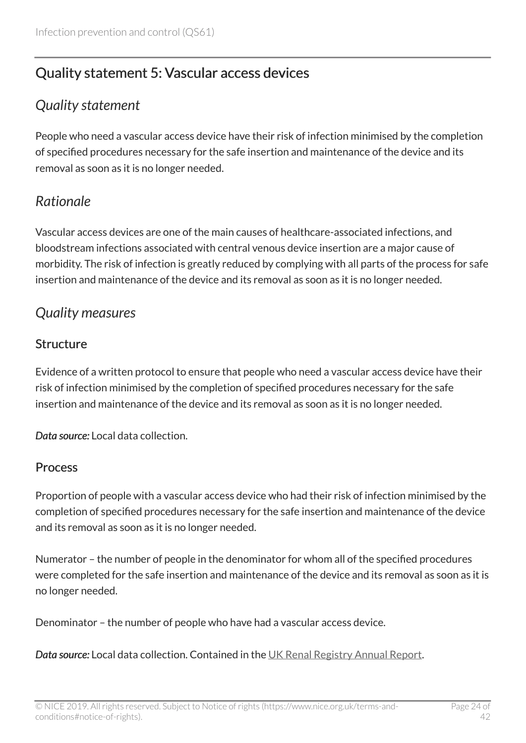# <span id="page-23-0"></span>Quality statement 5: Vascular access devices

### <span id="page-23-1"></span>*Quality statement*

People who need a vascular access device have their risk of infection minimised by the completion of specified procedures necessary for the safe insertion and maintenance of the device and its removal as soon as it is no longer needed.

### <span id="page-23-2"></span>*Rationale*

Vascular access devices are one of the main causes of healthcare-associated infections, and bloodstream infections associated with central venous device insertion are a major cause of morbidity. The risk of infection is greatly reduced by complying with all parts of the process for safe insertion and maintenance of the device and its removal as soon as it is no longer needed.

### <span id="page-23-3"></span>*Quality measures*

### Structure

Evidence of a written protocol to ensure that people who need a vascular access device have their risk of infection minimised by the completion of specified procedures necessary for the safe insertion and maintenance of the device and its removal as soon as it is no longer needed.

*Data source:* Local data collection.

#### Process

Proportion of people with a vascular access device who had their risk of infection minimised by the completion of specified procedures necessary for the safe insertion and maintenance of the device and its removal as soon as it is no longer needed.

Numerator – the number of people in the denominator for whom all of the specified procedures were completed for the safe insertion and maintenance of the device and its removal as soon as it is no longer needed.

Denominator – the number of people who have had a vascular access device.

*Data source:* Local data collection. Contained in the [UK Renal Registry Annual Report.](https://www.renalreg.org/publications-reports)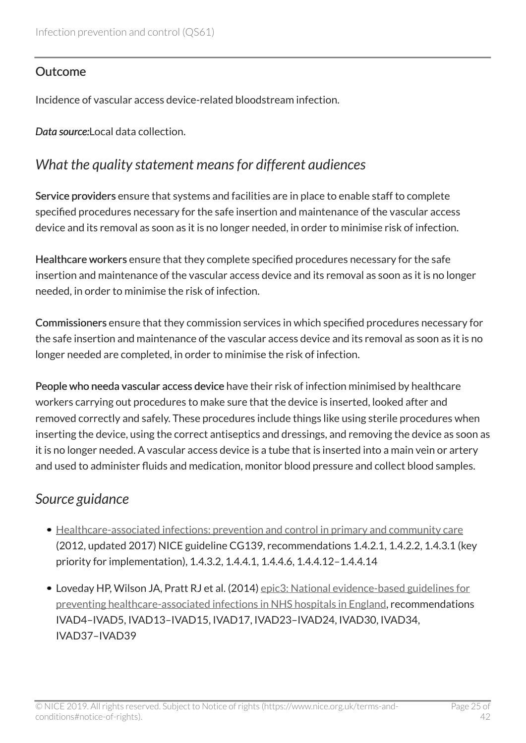### **Outcome**

Incidence of vascular access device-related bloodstream infection.

Data source: Local data collection.

### <span id="page-24-0"></span>*What the quality statement means for different audiences*

Service providers ensure that systems and facilities are in place to enable staff to complete specified procedures necessary for the safe insertion and maintenance of the vascular access device and its removal as soon as it is no longer needed, in order to minimise risk of infection.

Healthcare workers ensure that they complete specified procedures necessary for the safe insertion and maintenance of the vascular access device and its removal as soon as it is no longer needed, in order to minimise the risk of infection.

Commissioners ensure that they commission services in which specified procedures necessary for the safe insertion and maintenance of the vascular access device and its removal as soon as it is no longer needed are completed, in order to minimise the risk of infection.

People who needa vascular access device have their risk of infection minimised by healthcare workers carrying out procedures to make sure that the device is inserted, looked after and removed correctly and safely. These procedures include things like using sterile procedures when inserting the device, using the correct antiseptics and dressings, and removing the device as soon as it is no longer needed. A vascular access device is a tube that is inserted into a main vein or artery and used to administer fluids and medication, monitor blood pressure and collect blood samples.

### <span id="page-24-1"></span>*Source guidance*

- [Healthcare-associated infections: prevention and control in primary and community care](https://www.nice.org.uk/guidance/cg139) (2012, updated 2017) NICE guideline CG139, recommendations 1.4.2.1, 1.4.2.2, 1.4.3.1 (key priority for implementation), 1.4.3.2, 1.4.4.1, 1.4.4.6, 1.4.4.12–1.4.4.14
- Loveday HP, Wilson JA, Pratt RJ et al. (2014) [epic3: National evidence-based guidelines for](http://www.journalofhospitalinfection.com/article/S0195-6701(13)60012-2/fulltext) [preventing healthcare-associated infections in NHS hospitals in England](http://www.journalofhospitalinfection.com/article/S0195-6701(13)60012-2/fulltext), recommendations IVAD4–IVAD5, IVAD13–IVAD15, IVAD17, IVAD23–IVAD24, IVAD30, IVAD34, IVAD37–IVAD39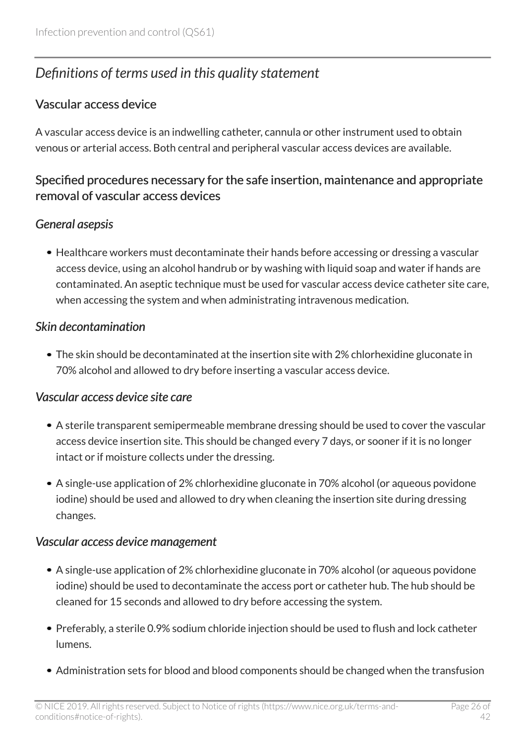# <span id="page-25-0"></span>*Definitions of terms used in this quality statement*

### Vascular access device

A vascular access device is an indwelling catheter, cannula or other instrument used to obtain venous or arterial access. Both central and peripheral vascular access devices are available.

### Specified procedures necessary for the safe insertion, maintenance and appropriate removal of vascular access devices

### *General asepsis*

• Healthcare workers must decontaminate their hands before accessing or dressing a vascular access device, using an alcohol handrub or by washing with liquid soap and water if hands are contaminated. An aseptic technique must be used for vascular access device catheter site care, when accessing the system and when administrating intravenous medication.

#### *Skin decontamination*

The skin should be decontaminated at the insertion site with 2% chlorhexidine gluconate in 70% alcohol and allowed to dry before inserting a vascular access device.

#### *Vascular access device site care*

- A sterile transparent semipermeable membrane dressing should be used to cover the vascular access device insertion site. This should be changed every 7 days, or sooner if it is no longer intact or if moisture collects under the dressing.
- A single-use application of 2% chlorhexidine gluconate in 70% alcohol (or aqueous povidone iodine) should be used and allowed to dry when cleaning the insertion site during dressing changes.

#### *Vascular access device management*

- A single-use application of 2% chlorhexidine gluconate in 70% alcohol (or aqueous povidone iodine) should be used to decontaminate the access port or catheter hub. The hub should be cleaned for 15 seconds and allowed to dry before accessing the system.
- Preferably, a sterile 0.9% sodium chloride injection should be used to flush and lock catheter lumens.
- Administration sets for blood and blood components should be changed when the transfusion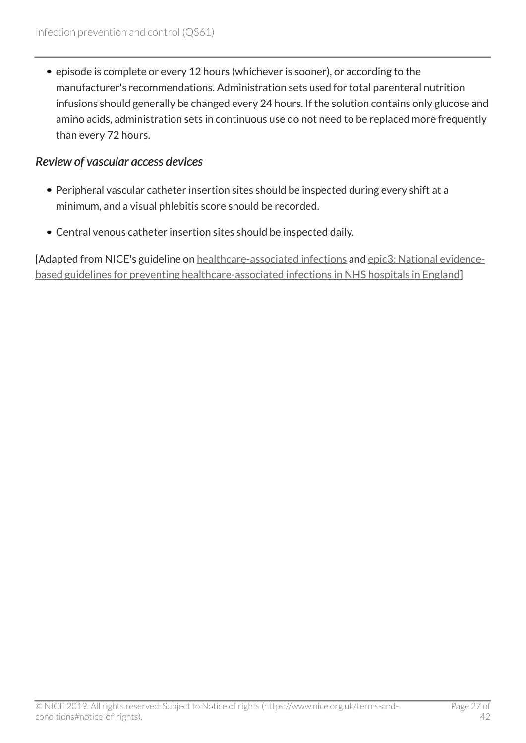• episode is complete or every 12 hours (whichever is sooner), or according to the manufacturer's recommendations. Administration sets used for total parenteral nutrition infusions should generally be changed every 24 hours. If the solution contains only glucose and amino acids, administration sets in continuous use do not need to be replaced more frequently than every 72 hours.

#### *Review of vascular access devices*

- Peripheral vascular catheter insertion sites should be inspected during every shift at a minimum, and a visual phlebitis score should be recorded.
- Central venous catheter insertion sites should be inspected daily.

[Adapted from NICE's guideline on [healthcare-associated infections](https://www.nice.org.uk/guidance/cg139) and [epic3: National evidence](http://www.journalofhospitalinfection.com/article/S0195-6701(13)60012-2/fulltext)[based guidelines for preventing healthcare-associated infections in NHS hospitals in England\]](http://www.journalofhospitalinfection.com/article/S0195-6701(13)60012-2/fulltext)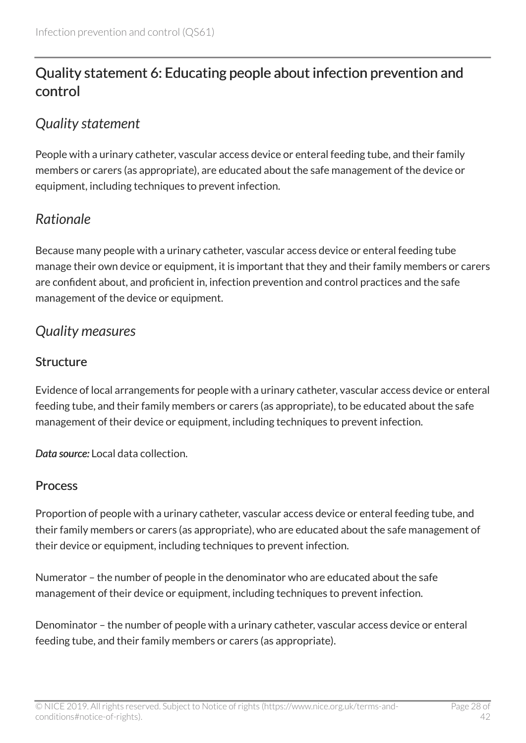# <span id="page-27-0"></span>Quality statement 6: Educating people about infection prevention and control

### <span id="page-27-1"></span>*Quality statement*

People with a urinary catheter, vascular access device or enteral feeding tube, and their family members or carers (as appropriate), are educated about the safe management of the device or equipment, including techniques to prevent infection.

# <span id="page-27-2"></span>*Rationale*

Because many people with a urinary catheter, vascular access device or enteral feeding tube manage their own device or equipment, it is important that they and their family members or carers are confident about, and proficient in, infection prevention and control practices and the safe management of the device or equipment.

### <span id="page-27-3"></span>*Quality measures*

### **Structure**

Evidence of local arrangements for people with a urinary catheter, vascular access device or enteral feeding tube, and their family members or carers (as appropriate), to be educated about the safe management of their device or equipment, including techniques to prevent infection.

*Data source:* Local data collection.

### Process

Proportion of people with a urinary catheter, vascular access device or enteral feeding tube, and their family members or carers (as appropriate), who are educated about the safe management of their device or equipment, including techniques to prevent infection.

Numerator – the number of people in the denominator who are educated about the safe management of their device or equipment, including techniques to prevent infection.

Denominator – the number of people with a urinary catheter, vascular access device or enteral feeding tube, and their family members or carers (as appropriate).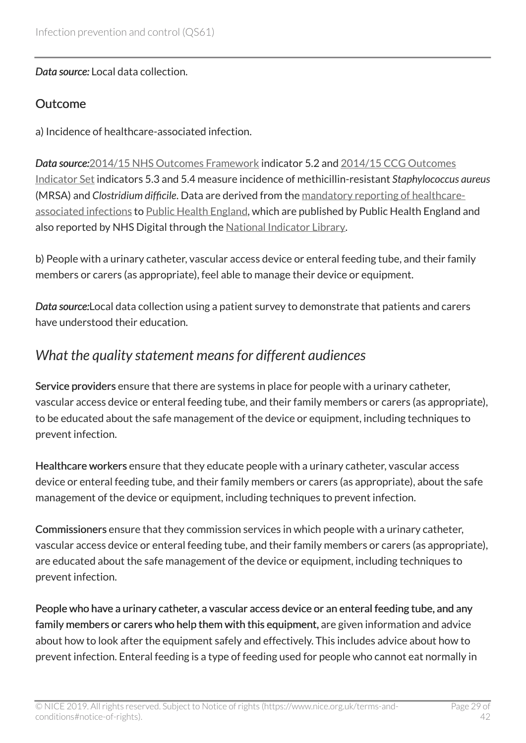*Data source:* Local data collection.

#### **Outcome**

a) Incidence of healthcare-associated infection.

*Data source:*[2014/15 NHS Outcomes Framework](https://www.gov.uk/government/publications/nhs-outcomes-framework-2014-to-2015) indicator 5.2 and [2014/15 CCG Outcomes](https://digital.nhs.uk/data-and-information/publications/clinical-indicators/ccg-outcomes-indicator-set) [Indicator Set](https://digital.nhs.uk/data-and-information/publications/clinical-indicators/ccg-outcomes-indicator-set) indicators 5.3 and 5.4 measure incidence of methicillin-resistant *Staphylococcus aureus* (MRSA) and *Clostridium difficile*. Data are derived from the [mandatory reporting of healthcare](https://hcaidcs.phe.org.uk/webpages/GeneralHomePage.aspx)[associated infections](https://hcaidcs.phe.org.uk/webpages/GeneralHomePage.aspx) to [Public Health England](https://www.gov.uk/government/organisations/public-health-england), which are published by Public Health England and also reported by NHS Digital through the [National Indicator Library.](https://digital.nhs.uk/data-and-information/national-indicator-library)

b) People with a urinary catheter, vascular access device or enteral feeding tube, and their family members or carers (as appropriate), feel able to manage their device or equipment.

*Data source:*Local data collection using a patient survey to demonstrate that patients and carers have understood their education.

### <span id="page-28-0"></span>*What the quality statement means for different audiences*

Service providers ensure that there are systems in place for people with a urinary catheter, vascular access device or enteral feeding tube, and their family members or carers (as appropriate), to be educated about the safe management of the device or equipment, including techniques to prevent infection.

Healthcare workers ensure that they educate people with a urinary catheter, vascular access device or enteral feeding tube, and their family members or carers (as appropriate), about the safe management of the device or equipment, including techniques to prevent infection.

Commissioners ensure that they commission services in which people with a urinary catheter, vascular access device or enteral feeding tube, and their family members or carers (as appropriate), are educated about the safe management of the device or equipment, including techniques to prevent infection.

People who have a urinary catheter, a vascular access device or an enteral feeding tube, and any family members or carers who help them with this equipment, are given information and advice about how to look after the equipment safely and effectively. This includes advice about how to prevent infection. Enteral feeding is a type of feeding used for people who cannot eat normally in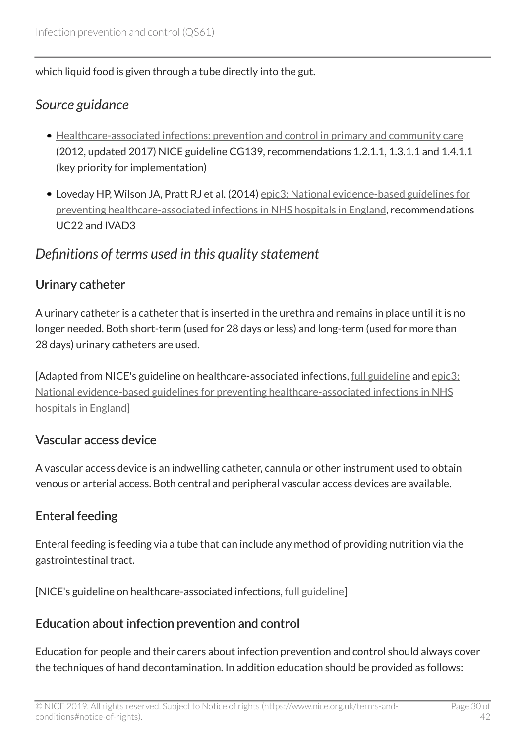which liquid food is given through a tube directly into the gut.

### <span id="page-29-0"></span>*Source guidance*

- [Healthcare-associated infections: prevention and control in primary and community care](https://www.nice.org.uk/guidance/cg139) (2012, updated 2017) NICE guideline CG139, recommendations 1.2.1.1, 1.3.1.1 and 1.4.1.1 (key priority for implementation)
- Loveday HP, Wilson JA, Pratt RJ et al. (2014) [epic3: National evidence-based guidelines for](http://www.journalofhospitalinfection.com/article/S0195-6701(13)60012-2/fulltext) [preventing healthcare-associated infections in NHS hospitals in England](http://www.journalofhospitalinfection.com/article/S0195-6701(13)60012-2/fulltext), recommendations UC22 and IVAD3

### <span id="page-29-1"></span>*Definitions of terms used in this quality statement*

### Urinary catheter

A urinary catheter is a catheter that is inserted in the urethra and remains in place until it is no longer needed. Both short-term (used for 28 days or less) and long-term (used for more than 28 days) urinary catheters are used.

[Adapted from NICE's guideline on healthcare-associated infections, [full guideline](http://www.nice.org.uk/guidance/cg139/evidence) and [epic3:](http://www.journalofhospitalinfection.com/article/S0195-6701(13)60012-2/fulltext) [National evidence-based guidelines for preventing healthcare-associated infections in NHS](http://www.journalofhospitalinfection.com/article/S0195-6701(13)60012-2/fulltext) [hospitals in England\]](http://www.journalofhospitalinfection.com/article/S0195-6701(13)60012-2/fulltext)

### Vascular access device

A vascular access device is an indwelling catheter, cannula or other instrument used to obtain venous or arterial access. Both central and peripheral vascular access devices are available.

### Enteral feeding

Enteral feeding is feeding via a tube that can include any method of providing nutrition via the gastrointestinal tract.

[NICE's guideline on healthcare-associated infections, [full guideline\]](http://www.nice.org.uk/guidance/cg139/evidence)

### Education about infection prevention and control

Education for people and their carers about infection prevention and control should always cover the techniques of hand decontamination. In addition education should be provided as follows: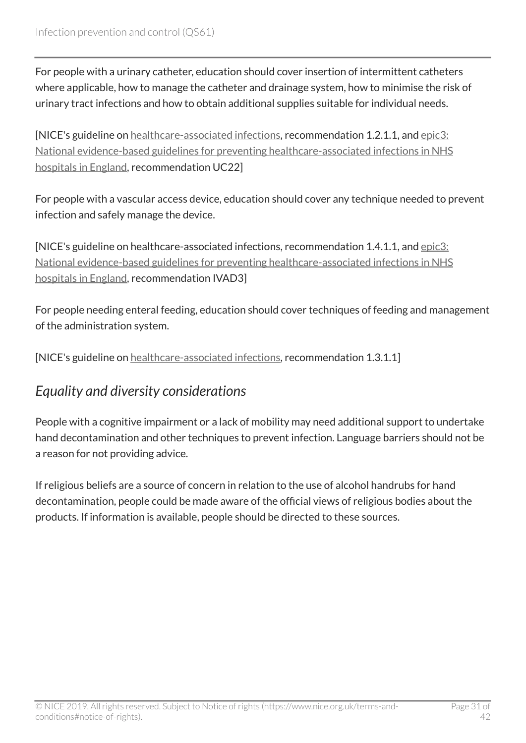For people with a urinary catheter, education should cover insertion of intermittent catheters where applicable, how to manage the catheter and drainage system, how to minimise the risk of urinary tract infections and how to obtain additional supplies suitable for individual needs.

[NICE's guideline on [healthcare-associated infections,](https://www.nice.org.uk/guidance/cg139) recommendation 1.2.1.1, and [epic3:](http://www.journalofhospitalinfection.com/article/S0195-6701(13)60012-2/fulltext) [National evidence-based guidelines for preventing healthcare-associated infections in NHS](http://www.journalofhospitalinfection.com/article/S0195-6701(13)60012-2/fulltext) [hospitals in England,](http://www.journalofhospitalinfection.com/article/S0195-6701(13)60012-2/fulltext) recommendation UC22]

For people with a vascular access device, education should cover any technique needed to prevent infection and safely manage the device.

[NICE's guideline on healthcare-associated infections, recommendation 1.4.1.1, and [epic3:](http://www.journalofhospitalinfection.com/article/S0195-6701(13)60012-2/fulltext) [National evidence-based guidelines for preventing healthcare-associated infections in NHS](http://www.journalofhospitalinfection.com/article/S0195-6701(13)60012-2/fulltext) [hospitals in England,](http://www.journalofhospitalinfection.com/article/S0195-6701(13)60012-2/fulltext) recommendation IVAD3]

For people needing enteral feeding, education should cover techniques of feeding and management of the administration system.

[NICE's guideline on [healthcare-associated infections,](https://www.nice.org.uk/guidance/cg139) recommendation 1.3.1.1]

### <span id="page-30-0"></span>*Equality and diversity considerations*

People with a cognitive impairment or a lack of mobility may need additional support to undertake hand decontamination and other techniques to prevent infection. Language barriers should not be a reason for not providing advice.

If religious beliefs are a source of concern in relation to the use of alcohol handrubs for hand decontamination, people could be made aware of the official views of religious bodies about the products. If information is available, people should be directed to these sources.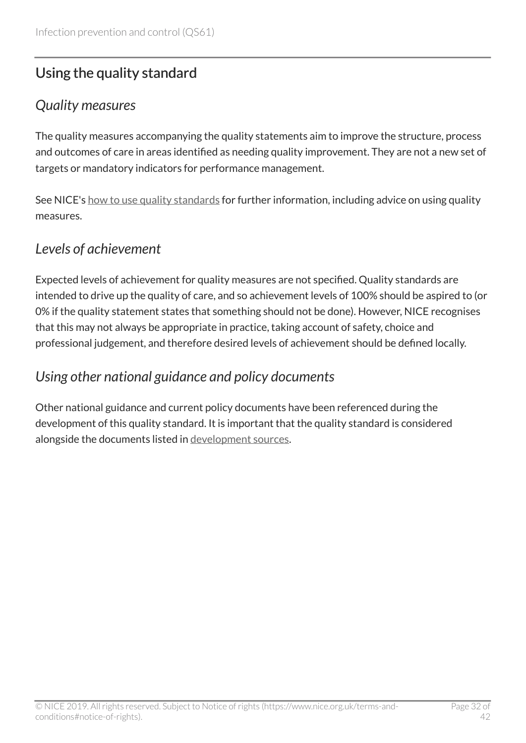# <span id="page-31-0"></span>Using the quality standard

### <span id="page-31-1"></span>*Quality measures*

The quality measures accompanying the quality statements aim to improve the structure, process and outcomes of care in areas identified as needing quality improvement. They are not a new set of targets or mandatory indicators for performance management.

See NICE's [how to use quality standards](https://www.nice.org.uk/standards-and-indicators/how-to-use-quality-standards) for further information, including advice on using quality measures.

### <span id="page-31-2"></span>*Levels of achievement*

Expected levels of achievement for quality measures are not specified. Quality standards are intended to drive up the quality of care, and so achievement levels of 100% should be aspired to (or 0% if the quality statement states that something should not be done). However, NICE recognises that this may not always be appropriate in practice, taking account of safety, choice and professional judgement, and therefore desired levels of achievement should be defined locally.

### <span id="page-31-3"></span>*Using other national guidance and policy documents*

Other national guidance and current policy documents have been referenced during the development of this quality standard. It is important that the quality standard is considered alongside the documents listed in [development sources](#page-33-0).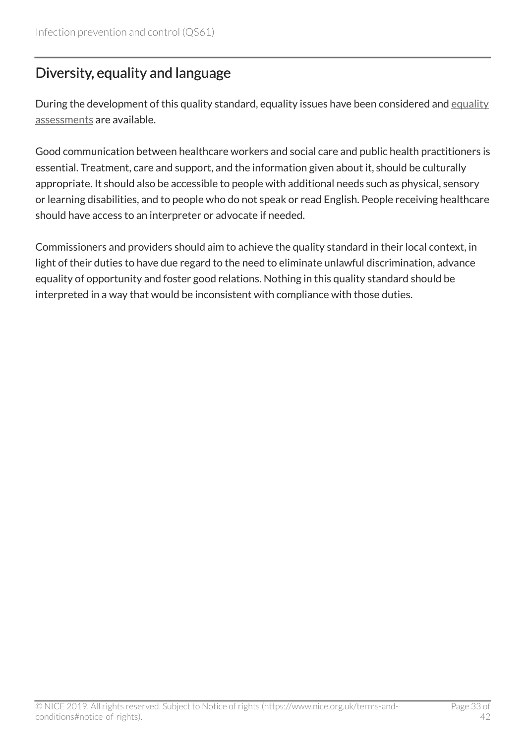# <span id="page-32-0"></span>Diversity, equality and language

During the development of this quality standard, [equality](http://www.nice.org.uk/guidance/QS61/Documents) issues have been considered and equality [assessments](http://www.nice.org.uk/guidance/QS61/Documents) are available.

Good communication between healthcare workers and social care and public health practitioners is essential. Treatment, care and support, and the information given about it, should be culturally appropriate. It should also be accessible to people with additional needs such as physical, sensory or learning disabilities, and to people who do not speak or read English. People receiving healthcare should have access to an interpreter or advocate if needed.

Commissioners and providers should aim to achieve the quality standard in their local context, in light of their duties to have due regard to the need to eliminate unlawful discrimination, advance equality of opportunity and foster good relations. Nothing in this quality standard should be interpreted in a way that would be inconsistent with compliance with those duties.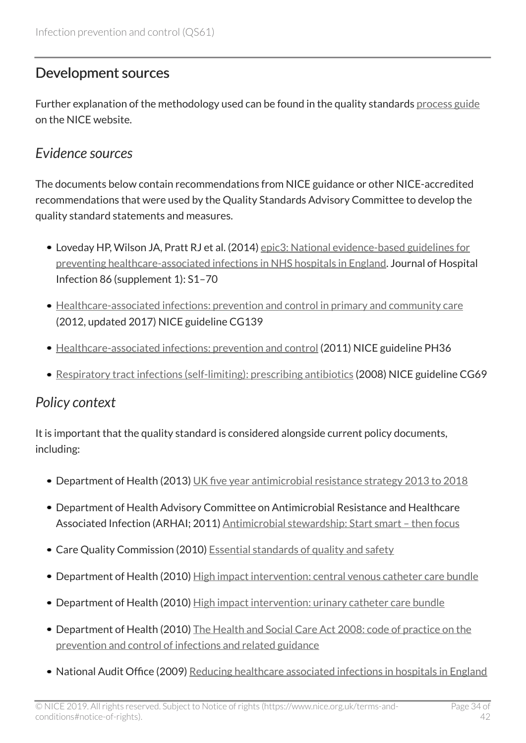### <span id="page-33-0"></span>Development sources

Further explanation of the methodology used can be found in the quality standards [process guide](https://www.nice.org.uk/standards-and-indicators/timeline-developing-quality-standards) on the NICE website.

### <span id="page-33-1"></span>*Evidence sources*

The documents below contain recommendations from NICE guidance or other NICE-accredited recommendations that were used by the Quality Standards Advisory Committee to develop the quality standard statements and measures.

- Loveday HP, Wilson JA, Pratt RJ et al. (2014) [epic3: National evidence-based guidelines for](http://www.journalofhospitalinfection.com/article/S0195-6701(13)60012-2/fulltext) [preventing healthcare-associated infections in NHS hospitals in England](http://www.journalofhospitalinfection.com/article/S0195-6701(13)60012-2/fulltext). Journal of Hospital Infection 86 (supplement 1): S1–70
- [Healthcare-associated infections: prevention and control in primary and community care](https://www.nice.org.uk/guidance/cg139) (2012, updated 2017) NICE guideline CG139
- [Healthcare-associated infections: prevention and control](https://www.nice.org.uk/guidance/ph36) (2011) NICE guideline PH36
- [Respiratory tract infections \(self-limiting\): prescribing antibiotics](https://www.nice.org.uk/guidance/cg69) (2008) NICE guideline CG69

# <span id="page-33-2"></span>*Policy context*

It is important that the quality standard is considered alongside current policy documents, including:

- Department of Health (2013) [UK five year antimicrobial resistance strategy 2013 to 2018](https://www.gov.uk/government/publications/uk-5-year-antimicrobial-resistance-strategy-2013-to-2018)
- Department of Health Advisory Committee on Antimicrobial Resistance and Healthcare Associated Infection (ARHAI; 2011) Antimicrobial stewardship: Start smart - then focus
- Care Quality Commission (2010) [Essential standards of quality and safety](https://www.cqc.org.uk/)
- Department of Health (2010) [High impact intervention: central venous catheter care bundle](http://webarchive.nationalarchives.gov.uk/20120118164404/http:/hcai.dh.gov.uk/whatdoido/high-impact-interventions/)
- Department of Health (2010) [High impact intervention: urinary catheter care bundle](http://webarchive.nationalarchives.gov.uk/20120118164404/http:/hcai.dh.gov.uk/whatdoido/high-impact-interventions/)
- Department of Health (2010) [The Health and Social Care Act 2008: code of practice on the](https://www.gov.uk/government/publications/the-health-and-social-care-act-2008-code-of-practice-on-the-prevention-and-control-of-infections-and-related-guidance) [prevention and control of infections and related guidance](https://www.gov.uk/government/publications/the-health-and-social-care-act-2008-code-of-practice-on-the-prevention-and-control-of-infections-and-related-guidance)
- National Audit Office (2009) [Reducing healthcare associated infections in hospitals in England](http://www.nao.org.uk/report/reducing-healthcare-associated-infections-in-hospitals-in-england/)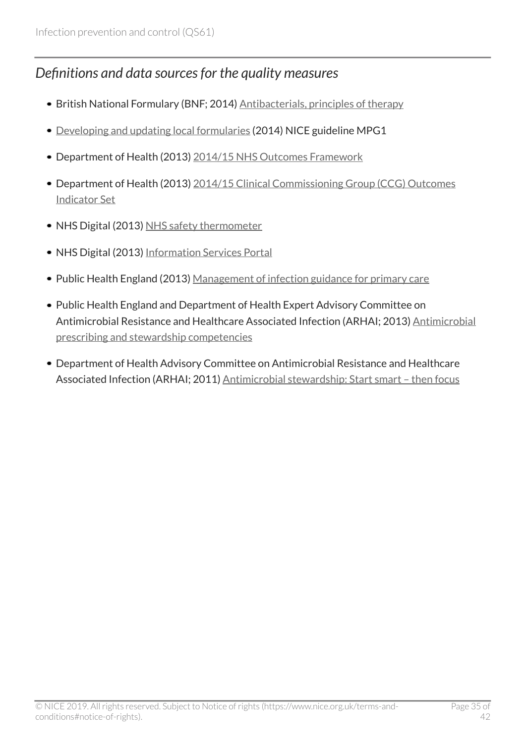### <span id="page-34-0"></span>*Definitions and data sources for the quality measures*

- British National Formulary (BNF; 2014) [Antibacterials, principles of therapy](https://bnf.nice.org.uk/treatment-summary/antibacterials-principles-of-therapy.html)
- [Developing and updating local formularies](https://www.nice.org.uk/guidance/mpg1) (2014) NICE guideline MPG1
- Department of Health (2013) [2014/15 NHS Outcomes Framework](https://www.gov.uk/government/publications/nhs-outcomes-framework-2014-to-2015)
- Department of Health (2013) [2014/15 Clinical Commissioning Group \(CCG\) Outcomes](https://digital.nhs.uk/data-and-information/publications/clinical-indicators/ccg-outcomes-indicator-set) [Indicator Set](https://digital.nhs.uk/data-and-information/publications/clinical-indicators/ccg-outcomes-indicator-set)
- NHS Digital (2013) [NHS safety thermometer](http://www.hscic.gov.uk/thermometer)
- NHS Digital (2013) [Information Services Portal](https://apps.nhsbsa.nhs.uk/infosystems/welcome)
- Public Health England (2013) [Management of infection guidance for primary care](https://www.gov.uk/government/publications/managing-common-infections-guidance-for-primary-care)
- Public Health England and Department of Health Expert Advisory Committee on [Antimicrobial](https://www.gov.uk/government/publications/antimicrobial-prescribing-and-stewardship-competencies) Resistance and Healthcare Associated Infection (ARHAI; 2013) Antimicrobial [prescribing and stewardship competencies](https://www.gov.uk/government/publications/antimicrobial-prescribing-and-stewardship-competencies)
- Department of Health Advisory Committee on Antimicrobial Resistance and Healthcare Associated Infection (ARHAI; 2011) Antimicrobial stewardship: Start smart - then focus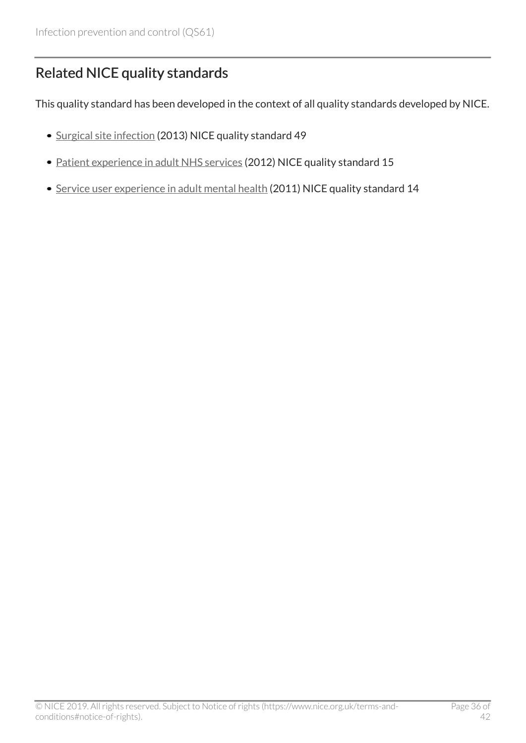# <span id="page-35-0"></span>Related NICE quality standards

This quality standard has been developed in the context of all quality standards developed by NICE.

- [Surgical site infection](https://www.nice.org.uk/guidance/qs49) (2013) NICE quality standard 49
- [Patient experience in adult NHS services](https://www.nice.org.uk/guidance/qs15) (2012) NICE quality standard 15
- [Service user experience in adult mental health](https://www.nice.org.uk/guidance/qs14) (2011) NICE quality standard 14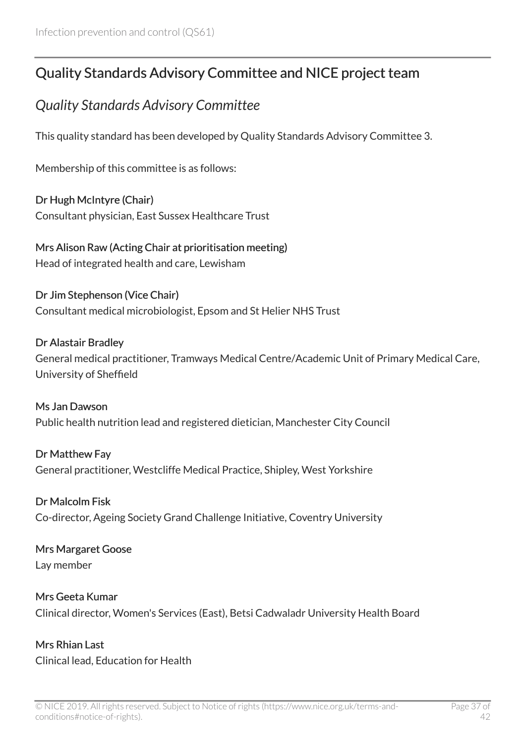# <span id="page-36-0"></span>Quality Standards Advisory Committee and NICE project team

### <span id="page-36-1"></span>*Quality Standards Advisory Committee*

This quality standard has been developed by Quality Standards Advisory Committee 3.

Membership of this committee is as follows:

Dr Hugh McIntyre (Chair) Consultant physician, East Sussex Healthcare Trust

Mrs Alison Raw (Acting Chair at prioritisation meeting) Head of integrated health and care, Lewisham

Dr Jim Stephenson (Vice Chair) Consultant medical microbiologist, Epsom and St Helier NHS Trust

#### Dr Alastair Bradley

General medical practitioner, Tramways Medical Centre/Academic Unit of Primary Medical Care, University of Sheffield

Ms Jan Dawson Public health nutrition lead and registered dietician, Manchester City Council

Dr Matthew Fay General practitioner, Westcliffe Medical Practice, Shipley, West Yorkshire

Dr Malcolm Fisk Co-director, Ageing Society Grand Challenge Initiative, Coventry University

#### Mrs Margaret Goose Lay member

Mrs Geeta Kumar Clinical director, Women's Services (East), Betsi Cadwaladr University Health Board

Mrs Rhian Last Clinical lead, Education for Health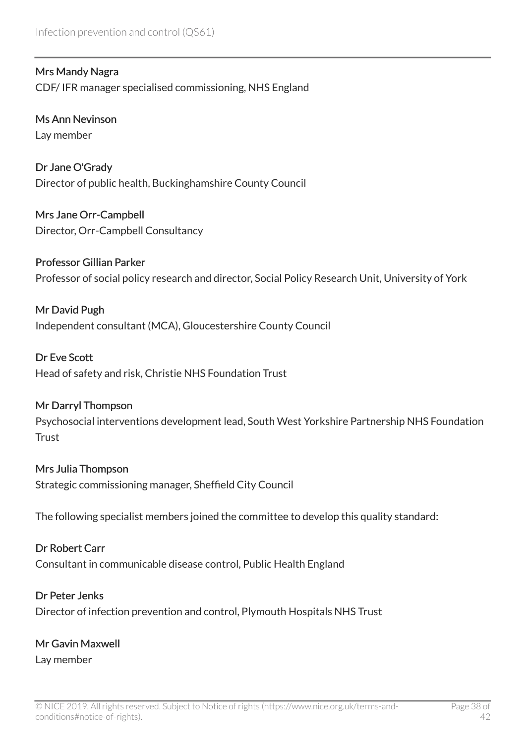Mrs Mandy Nagra CDF/ IFR manager specialised commissioning, NHS England

Ms Ann Nevinson Lay member

Dr Jane O'Grady Director of public health, Buckinghamshire County Council

Mrs Jane Orr-Campbell Director, Orr-Campbell Consultancy

Professor Gillian Parker Professor of social policy research and director, Social Policy Research Unit, University of York

Mr David Pugh Independent consultant (MCA), Gloucestershire County Council

Dr Eve Scott Head of safety and risk, Christie NHS Foundation Trust

#### Mr Darryl Thompson

Psychosocial interventions development lead, South West Yorkshire Partnership NHS Foundation **Trust** 

#### Mrs Julia Thompson

Strategic commissioning manager, Sheffield City Council

The following specialist members joined the committee to develop this quality standard:

#### Dr Robert Carr

Consultant in communicable disease control, Public Health England

#### Dr Peter Jenks

Director of infection prevention and control, Plymouth Hospitals NHS Trust

### Mr Gavin Maxwell

Lay member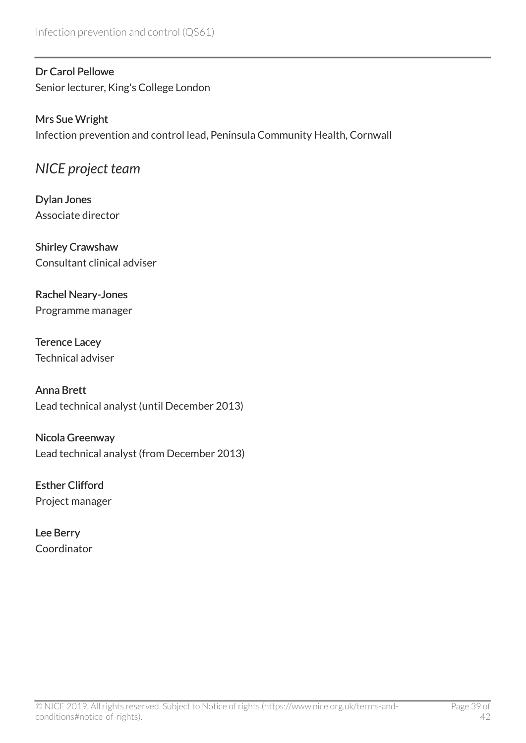#### Dr Carol Pellowe

Senior lecturer, King's College London

#### Mrs Sue Wright

Infection prevention and control lead, Peninsula Community Health, Cornwall

### <span id="page-38-0"></span>*NICE project team*

Dylan Jones Associate director

Shirley Crawshaw Consultant clinical adviser

#### Rachel Neary-Jones Programme manager

Terence Lacey Technical adviser

Anna Brett Lead technical analyst (until December 2013)

Nicola Greenway Lead technical analyst (from December 2013)

Esther Clifford Project manager

Lee Berry Coordinator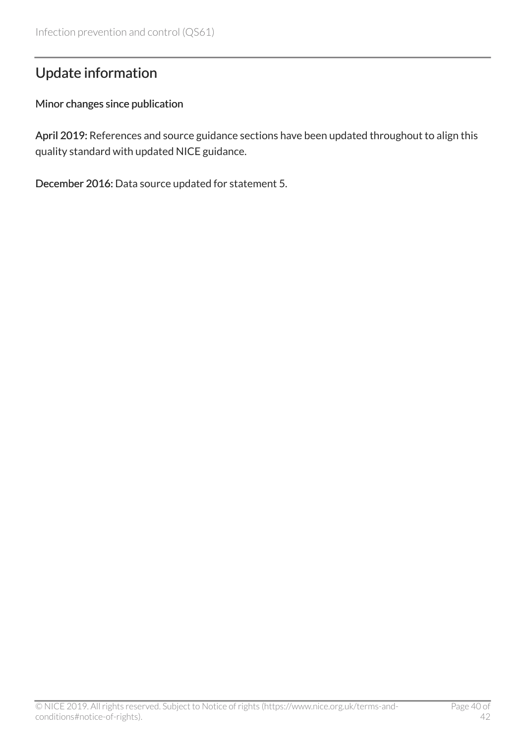# <span id="page-39-0"></span>Update information

#### Minor changes since publication

April 2019: References and source guidance sections have been updated throughout to align this quality standard with updated NICE guidance.

December 2016: Data source updated for statement 5.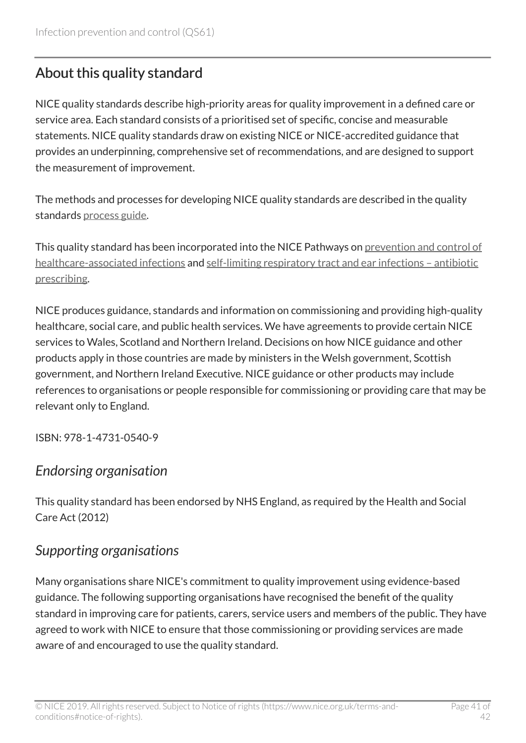# <span id="page-40-0"></span>About this quality standard

NICE quality standards describe high-priority areas for quality improvement in a defined care or service area. Each standard consists of a prioritised set of specific, concise and measurable statements. NICE quality standards draw on existing NICE or NICE-accredited guidance that provides an underpinning, comprehensive set of recommendations, and are designed to support the measurement of improvement.

The methods and processes for developing NICE quality standards are described in the quality standards [process guide.](https://www.nice.org.uk/standards-and-indicators/timeline-developing-quality-standards)

This quality standard has been incorporated into the NICE Pathways on [prevention and control of](http://pathways.nice.org.uk/pathways/prevention-and-control-of-healthcare-associated-infections) [healthcare-associated infections](http://pathways.nice.org.uk/pathways/prevention-and-control-of-healthcare-associated-infections) and [self-limiting respiratory tract and ear infections – antibiotic](http://pathways.nice.org.uk/pathways/self-limiting-respiratory-tract-infections---antibiotic-prescribing) [prescribing](http://pathways.nice.org.uk/pathways/self-limiting-respiratory-tract-infections---antibiotic-prescribing).

NICE produces guidance, standards and information on commissioning and providing high-quality healthcare, social care, and public health services. We have agreements to provide certain NICE services to Wales, Scotland and Northern Ireland. Decisions on how NICE guidance and other products apply in those countries are made by ministers in the Welsh government, Scottish government, and Northern Ireland Executive. NICE guidance or other products may include references to organisations or people responsible for commissioning or providing care that may be relevant only to England.

ISBN: 978-1-4731-0540-9

### *Endorsing organisation*

This quality standard has been endorsed by NHS England, as required by the Health and Social Care Act (2012)

### *Supporting organisations*

Many organisations share NICE's commitment to quality improvement using evidence-based guidance. The following supporting organisations have recognised the benefit of the quality standard in improving care for patients, carers, service users and members of the public. They have agreed to work with NICE to ensure that those commissioning or providing services are made aware of and encouraged to use the quality standard.